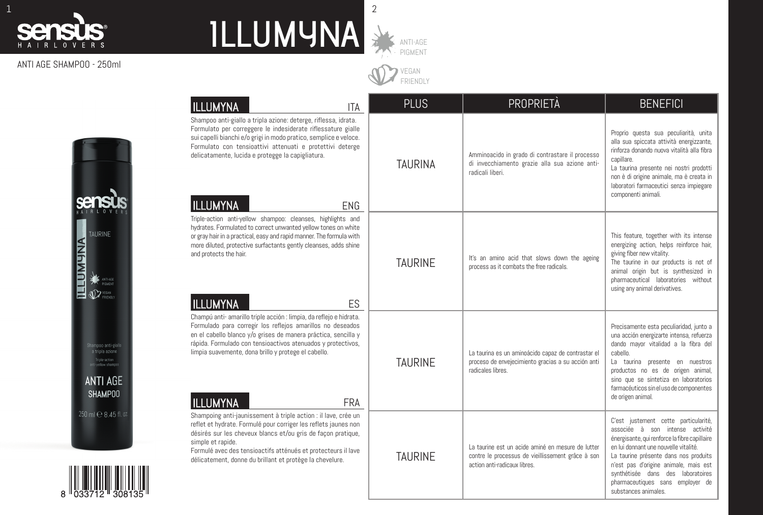

## ANTI AGE SHAMPOO - 250ml

| ILLUMYNA<br>ITA                                                                                                                                                                                                                                                                                                                                             | <b>PLUS</b>    | PROPRIETÀ                                                                                                                              | <b>BENEFICI</b>                                                                                                                                                                                                                                                                                                                                      |  |
|-------------------------------------------------------------------------------------------------------------------------------------------------------------------------------------------------------------------------------------------------------------------------------------------------------------------------------------------------------------|----------------|----------------------------------------------------------------------------------------------------------------------------------------|------------------------------------------------------------------------------------------------------------------------------------------------------------------------------------------------------------------------------------------------------------------------------------------------------------------------------------------------------|--|
| Shampoo anti-giallo a tripla azione: deterge, riflessa, idrata.<br>Formulato per correggere le indesiderate riflessature gialle<br>sui capelli bianchi e/o grigi in modo pratico, semplice e veloce.<br>Formulato con tensioattivi attenuati e protettivi deterge<br>delicatamente, lucida e protegge la capigliatura.<br><b>ILLUMYNA</b><br><b>ENG</b>     | TAURINA        | Amminoacido in grado di contrastare il processo<br>di invecchiamento grazie alla sua azione anti-<br>radicali liberi.                  | Proprio questa sua peculiarità, unita<br>alla sua spiccata attività energizzante,<br>rinforza donando nuova vitalità alla fibra<br>capillare.<br>La taurina presente nei nostri prodotti<br>non è di origine animale, ma è creata in<br>laboratori farmaceutici senza impiegare<br>componenti animali.                                               |  |
| Triple-action anti-yellow shampoo: cleanses, highlights and<br>hydrates. Formulated to correct unwanted yellow tones on white<br>or gray hair in a practical, easy and rapid manner. The formula with<br>more diluted, protective surfactants gently cleanses, adds shine<br>and protects the hair.<br>ILLUMYNA<br>ES                                       | <b>TAURINE</b> | It's an amino acid that slows down the ageing<br>process as it combats the free radicals.                                              | This feature, together with its intense<br>energizing action, helps reinforce hair,<br>giving fiber new vitality.<br>The taurine in our products is not of<br>animal origin but is synthesized in<br>pharmaceutical laboratories without<br>using any animal derivatives.                                                                            |  |
| Champú anti-amarillo triple acción : limpia, da reflejo e hidrata.<br>Formulado para corregir los reflejos amarillos no deseados<br>en el cabello blanco y/o grises de manera práctica, sencilla y<br>rápida. Formulado con tensioactivos atenuados y protectivos,<br>limpia suavemente, dona brillo y protege el cabello.<br><b>ILLUMYNA</b><br><b>FRA</b> | <b>TAURINE</b> | La taurina es un aminoácido capaz de contrastar el<br>proceso de envejecimiento gracias a su acción anti<br>radicales libres.          | Precisamente esta peculiaridad, junto a<br>una acción energizarte intensa, refuerza<br>dando mayor vitalidad a la fibra del<br>cabello.<br>La taurina presente en nuestros<br>productos no es de origen animal,<br>sino que se sintetiza en laboratorios<br>farmacéuticos sin el uso de componentes<br>de origen animal.                             |  |
| Shampoing anti-jaunissement à triple action : il lave, crée un<br>reflet et hydrate. Formulé pour corriger les reflets jaunes non<br>désirés sur les cheveux blancs et/ou gris de façon pratique,<br>simple et rapide.<br>Formulé avec des tensioactifs atténués et protecteurs il lave<br>délicatement, donne du brillant et protège la chevelure.         | <b>TAURINE</b> | La taurine est un acide aminé en mesure de lutter<br>contre le processus de vieillissement grâce à son<br>action anti-radicaux libres. | C'est justement cette particularité,<br>associée à son intense activité<br>énergisante, qui renforce la fibre capillaire<br>en lui donnant une nouvelle vitalité.<br>La taurine présente dans nos produits<br>n'est pas d'origine animale, mais est<br>synthétisée dans des laboratoires<br>pharmaceutiques sans employer de<br>substances animales. |  |